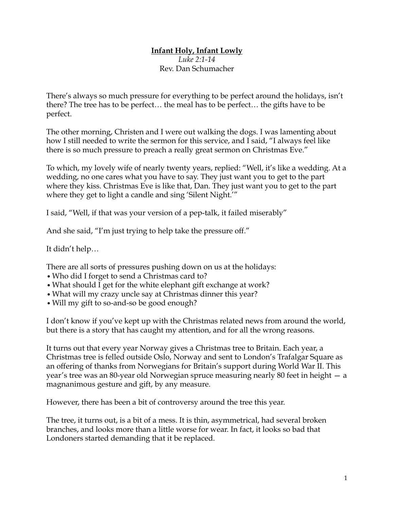## **Infant Holy, Infant Lowly**

*Luke 2:1-14* Rev. Dan Schumacher

There's always so much pressure for everything to be perfect around the holidays, isn't there? The tree has to be perfect… the meal has to be perfect… the gifts have to be perfect.

The other morning, Christen and I were out walking the dogs. I was lamenting about how I still needed to write the sermon for this service, and I said, "I always feel like there is so much pressure to preach a really great sermon on Christmas Eve."

To which, my lovely wife of nearly twenty years, replied: "Well, it's like a wedding. At a wedding, no one cares what you have to say. They just want you to get to the part where they kiss. Christmas Eve is like that, Dan. They just want you to get to the part where they get to light a candle and sing 'Silent Night.'"

I said, "Well, if that was your version of a pep-talk, it failed miserably"

And she said, "I'm just trying to help take the pressure off."

It didn't help…

There are all sorts of pressures pushing down on us at the holidays:

- *•*Who did I forget to send a Christmas card to?
- What should I get for the white elephant gift exchange at work?
- *•*What will my crazy uncle say at Christmas dinner this year?
- *•*Will my gift to so-and-so be good enough?

I don't know if you've kept up with the Christmas related news from around the world, but there is a story that has caught my attention, and for all the wrong reasons.

It turns out that every year Norway gives a Christmas tree to Britain. Each year, a Christmas tree is felled outside Oslo, Norway and sent to London's Trafalgar Square as an offering of thanks from Norwegians for Britain's support during World War II. This year's tree was an 80-year old Norwegian spruce measuring nearly 80 feet in height — a magnanimous gesture and gift, by any measure.

However, there has been a bit of controversy around the tree this year.

The tree, it turns out, is a bit of a mess. It is thin, asymmetrical, had several broken branches, and looks more than a little worse for wear. In fact, it looks so bad that Londoners started demanding that it be replaced.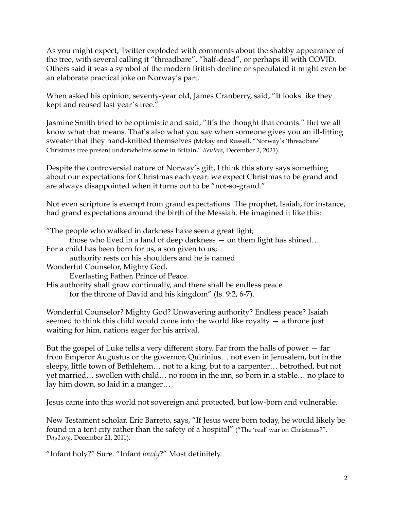As you might expect, Twitter exploded with comments about the shabby appearance of the tree, with several calling it "threadbare", "half-dead", or perhaps ill with COVID. Others said it was a symbol of the modern British decline or speculated it might even be an elaborate practical joke on Norway's part.

When asked his opinion, seventy-year old, James Cranberry, said, "It looks like they kept and reused last year's tree."

Jasmine Smith tried to be optimistic and said, "It's the thought that counts." But we all know what that means. That's also what you say when someone gives you an ill-fitting sweater that they hand-knitted themselves (Mckay and Russell, "Norway's 'threadbare' Christmas tree present underwhelms some in Britain," *Reuters*, December 2, 2021).

Despite the controversial nature of Norway's gift, I think this story says something about our expectations for Christmas each year: we expect Christmas to be grand and are always disappointed when it turns out to be "not-so-grand."

Not even scripture is exempt from grand expectations. The prophet, Isaiah, for instance, had grand expectations around the birth of the Messiah. He imagined it like this:

"The people who walked in darkness have seen a great light;

those who lived in a land of deep darkness — on them light has shined…

For a child has been born for us, a son given to us;

authority rests on his shoulders and he is named

Wonderful Counselor, Mighty God,

Everlasting Father, Prince of Peace.

His authority shall grow continually, and there shall be endless peace for the throne of David and his kingdom" (Is. 9:2, 6-7).

Wonderful Counselor? Mighty God? Unwavering authority? Endless peace? Isaiah seemed to think this child would come into the world like royalty — a throne just waiting for him, nations eager for his arrival.

But the gospel of Luke tells a very different story. Far from the halls of power — far from Emperor Augustus or the governor, Quirinius… not even in Jerusalem, but in the sleepy, little town of Bethlehem… not to a king, but to a carpenter… betrothed, but not yet married… swollen with child… no room in the inn, so born in a stable… no place to lay him down, so laid in a manger…

Jesus came into this world not sovereign and protected, but low-born and vulnerable.

New Testament scholar, Eric Barreto, says, "If Jesus were born today, he would likely be found in a tent city rather than the safety of a hospital" ("The 'real' war on Christmas?", *Day1.org*, December 21, 2011).

"Infant holy?" Sure. "Infant *lowly*?" Most definitely.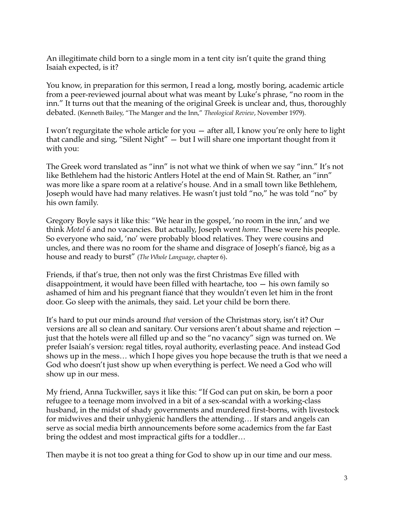An illegitimate child born to a single mom in a tent city isn't quite the grand thing Isaiah expected, is it?

You know, in preparation for this sermon, I read a long, mostly boring, academic article from a peer-reviewed journal about what was meant by Luke's phrase, "no room in the inn." It turns out that the meaning of the original Greek is unclear and, thus, thoroughly debated. (Kenneth Bailey, "The Manger and the Inn," *Theological Review*, November 1979).

I won't regurgitate the whole article for you — after all, I know you're only here to light that candle and sing, "Silent Night" — but I will share one important thought from it with you:

The Greek word translated as "inn" is not what we think of when we say "inn." It's not like Bethlehem had the historic Antlers Hotel at the end of Main St. Rather, an "inn" was more like a spare room at a relative's house. And in a small town like Bethlehem, Joseph would have had many relatives. He wasn't just told "no," he was told "no" by his own family.

Gregory Boyle says it like this: "We hear in the gospel, 'no room in the inn,' and we think *Motel 6* and no vacancies. But actually, Joseph went *home*. These were his people. So everyone who said, 'no' were probably blood relatives. They were cousins and uncles, and there was no room for the shame and disgrace of Joseph's fiancé, big as a house and ready to burst" (*The Whole Language*, chapter 6).

Friends, if that's true, then not only was the first Christmas Eve filled with disappointment, it would have been filled with heartache, too — his own family so ashamed of him and his pregnant fiancé that they wouldn't even let him in the front door. Go sleep with the animals, they said. Let your child be born there.

It's hard to put our minds around *that* version of the Christmas story, isn't it? Our versions are all so clean and sanitary. Our versions aren't about shame and rejection just that the hotels were all filled up and so the "no vacancy" sign was turned on. We prefer Isaiah's version: regal titles, royal authority, everlasting peace. And instead God shows up in the mess… which I hope gives you hope because the truth is that we need a God who doesn't just show up when everything is perfect. We need a God who will show up in our mess.

My friend, Anna Tuckwiller, says it like this: "If God can put on skin, be born a poor refugee to a teenage mom involved in a bit of a sex-scandal with a working-class husband, in the midst of shady governments and murdered first-borns, with livestock for midwives and their unhygienic handlers the attending… If stars and angels can serve as social media birth announcements before some academics from the far East bring the oddest and most impractical gifts for a toddler…

Then maybe it is not too great a thing for God to show up in our time and our mess.